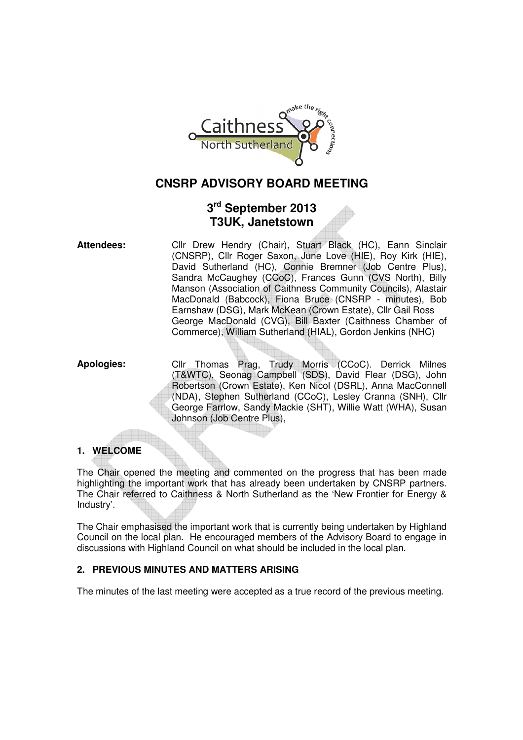

# **CNSRP ADVISORY BOARD MEETING**

# **3 rd September 2013 T3UK, Janetstown**

**Attendees:** Cllr Drew Hendry (Chair), Stuart Black (HC), Eann Sinclair (CNSRP), Cllr Roger Saxon, June Love (HIE), Roy Kirk (HIE), David Sutherland (HC), Connie Bremner (Job Centre Plus), Sandra McCaughey (CCoC), Frances Gunn (CVS North), Billy Manson (Association of Caithness Community Councils), Alastair MacDonald (Babcock), Fiona Bruce (CNSRP - minutes), Bob Earnshaw (DSG), Mark McKean (Crown Estate), Cllr Gail Ross George MacDonald (CVG), Bill Baxter (Caithness Chamber of Commerce), William Sutherland (HIAL), Gordon Jenkins (NHC)

**Apologies:** Cllr Thomas Prag, Trudy Morris (CCoC). Derrick Milnes (T&WTC), Seonag Campbell (SDS), David Flear (DSG), John Robertson (Crown Estate), Ken Nicol (DSRL), Anna MacConnell (NDA), Stephen Sutherland (CCoC), Lesley Cranna (SNH), Cllr George Farrlow, Sandy Mackie (SHT), Willie Watt (WHA), Susan Johnson (Job Centre Plus),

# **1. WELCOME**

The Chair opened the meeting and commented on the progress that has been made highlighting the important work that has already been undertaken by CNSRP partners. The Chair referred to Caithness & North Sutherland as the 'New Frontier for Energy & Industry'.

The Chair emphasised the important work that is currently being undertaken by Highland Council on the local plan. He encouraged members of the Advisory Board to engage in discussions with Highland Council on what should be included in the local plan.

# **2. PREVIOUS MINUTES AND MATTERS ARISING**

The minutes of the last meeting were accepted as a true record of the previous meeting.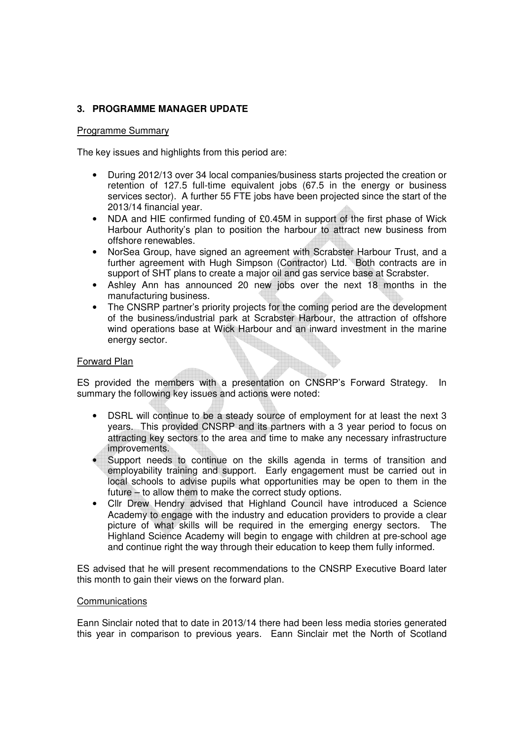# **3. PROGRAMME MANAGER UPDATE**

## Programme Summary

The key issues and highlights from this period are:

- During 2012/13 over 34 local companies/business starts projected the creation or retention of 127.5 full-time equivalent jobs (67.5 in the energy or business services sector). A further 55 FTE jobs have been projected since the start of the 2013/14 financial year.
- NDA and HIE confirmed funding of £0.45M in support of the first phase of Wick Harbour Authority's plan to position the harbour to attract new business from offshore renewables.
- NorSea Group, have signed an agreement with Scrabster Harbour Trust, and a further agreement with Hugh Simpson (Contractor) Ltd. Both contracts are in support of SHT plans to create a major oil and gas service base at Scrabster.
- Ashley Ann has announced 20 new jobs over the next 18 months in the manufacturing business.
- The CNSRP partner's priority projects for the coming period are the development of the business/industrial park at Scrabster Harbour, the attraction of offshore wind operations base at Wick Harbour and an inward investment in the marine energy sector.

## Forward Plan

ES provided the members with a presentation on CNSRP's Forward Strategy. In summary the following key issues and actions were noted:

- DSRL will continue to be a steady source of employment for at least the next 3 years. This provided CNSRP and its partners with a 3 year period to focus on attracting key sectors to the area and time to make any necessary infrastructure improvements.
- Support needs to continue on the skills agenda in terms of transition and employability training and support. Early engagement must be carried out in local schools to advise pupils what opportunities may be open to them in the future – to allow them to make the correct study options.
- Cllr Drew Hendry advised that Highland Council have introduced a Science Academy to engage with the industry and education providers to provide a clear picture of what skills will be required in the emerging energy sectors. The Highland Science Academy will begin to engage with children at pre-school age and continue right the way through their education to keep them fully informed.

ES advised that he will present recommendations to the CNSRP Executive Board later this month to gain their views on the forward plan.

#### **Communications**

Eann Sinclair noted that to date in 2013/14 there had been less media stories generated this year in comparison to previous years. Eann Sinclair met the North of Scotland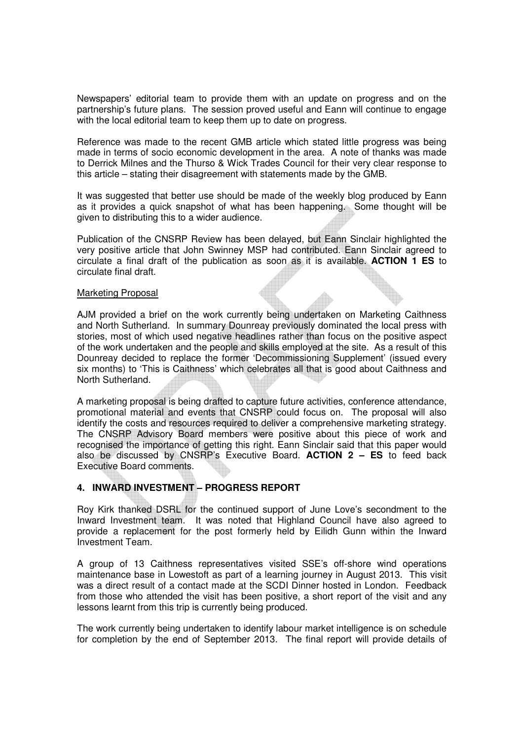Newspapers' editorial team to provide them with an update on progress and on the partnership's future plans. The session proved useful and Eann will continue to engage with the local editorial team to keep them up to date on progress.

Reference was made to the recent GMB article which stated little progress was being made in terms of socio economic development in the area. A note of thanks was made to Derrick Milnes and the Thurso & Wick Trades Council for their very clear response to this article – stating their disagreement with statements made by the GMB.

It was suggested that better use should be made of the weekly blog produced by Eann as it provides a quick snapshot of what has been happening. Some thought will be given to distributing this to a wider audience.

Publication of the CNSRP Review has been delayed, but Eann Sinclair highlighted the very positive article that John Swinney MSP had contributed. Eann Sinclair agreed to circulate a final draft of the publication as soon as it is available. **ACTION 1 ES** to circulate final draft.

#### Marketing Proposal

AJM provided a brief on the work currently being undertaken on Marketing Caithness and North Sutherland. In summary Dounreay previously dominated the local press with stories, most of which used negative headlines rather than focus on the positive aspect of the work undertaken and the people and skills employed at the site. As a result of this Dounreay decided to replace the former 'Decommissioning Supplement' (issued every six months) to 'This is Caithness' which celebrates all that is good about Caithness and North Sutherland.

A marketing proposal is being drafted to capture future activities, conference attendance, promotional material and events that CNSRP could focus on. The proposal will also identify the costs and resources required to deliver a comprehensive marketing strategy. The CNSRP Advisory Board members were positive about this piece of work and recognised the importance of getting this right. Eann Sinclair said that this paper would also be discussed by CNSRP's Executive Board. **ACTION 2 – ES** to feed back Executive Board comments.

# **4. INWARD INVESTMENT – PROGRESS REPORT**

Roy Kirk thanked DSRL for the continued support of June Love's secondment to the Inward Investment team. It was noted that Highland Council have also agreed to provide a replacement for the post formerly held by Eilidh Gunn within the Inward Investment Team.

A group of 13 Caithness representatives visited SSE's off-shore wind operations maintenance base in Lowestoft as part of a learning journey in August 2013. This visit was a direct result of a contact made at the SCDI Dinner hosted in London. Feedback from those who attended the visit has been positive, a short report of the visit and any lessons learnt from this trip is currently being produced.

The work currently being undertaken to identify labour market intelligence is on schedule for completion by the end of September 2013. The final report will provide details of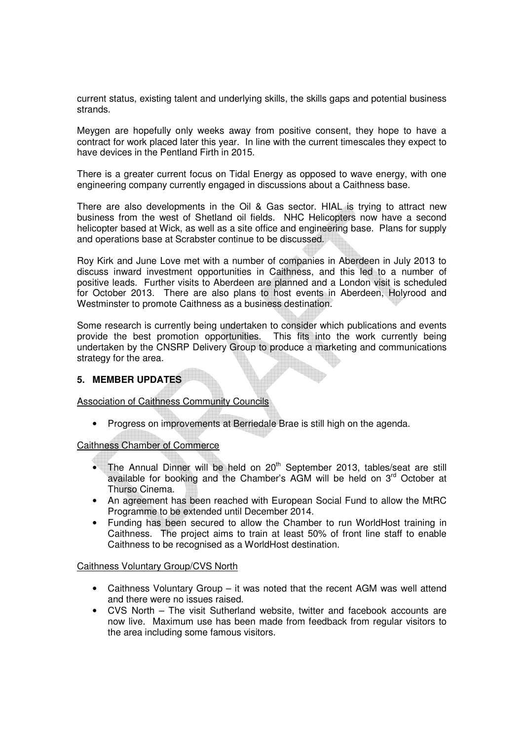current status, existing talent and underlying skills, the skills gaps and potential business strands.

Meygen are hopefully only weeks away from positive consent, they hope to have a contract for work placed later this year. In line with the current timescales they expect to have devices in the Pentland Firth in 2015.

There is a greater current focus on Tidal Energy as opposed to wave energy, with one engineering company currently engaged in discussions about a Caithness base.

There are also developments in the Oil & Gas sector. HIAL is trying to attract new business from the west of Shetland oil fields. NHC Helicopters now have a second helicopter based at Wick, as well as a site office and engineering base. Plans for supply and operations base at Scrabster continue to be discussed.

Roy Kirk and June Love met with a number of companies in Aberdeen in July 2013 to discuss inward investment opportunities in Caithness, and this led to a number of positive leads. Further visits to Aberdeen are planned and a London visit is scheduled for October 2013. There are also plans to host events in Aberdeen, Holyrood and Westminster to promote Caithness as a business destination.

Some research is currently being undertaken to consider which publications and events provide the best promotion opportunities. This fits into the work currently being undertaken by the CNSRP Delivery Group to produce a marketing and communications strategy for the area.

## **5. MEMBER UPDATES**

Association of Caithness Community Councils

• Progress on improvements at Berriedale Brae is still high on the agenda.

Caithness Chamber of Commerce

- The Annual Dinner will be held on  $20<sup>th</sup>$  September 2013, tables/seat are still available for booking and the Chamber's AGM will be held on 3<sup>rd</sup> October at Thurso Cinema.
- An agreement has been reached with European Social Fund to allow the MtRC Programme to be extended until December 2014.
- Funding has been secured to allow the Chamber to run WorldHost training in Caithness. The project aims to train at least 50% of front line staff to enable Caithness to be recognised as a WorldHost destination.

#### Caithness Voluntary Group/CVS North

- Caithness Voluntary Group it was noted that the recent AGM was well attend and there were no issues raised.
- CVS North The visit Sutherland website, twitter and facebook accounts are now live. Maximum use has been made from feedback from regular visitors to the area including some famous visitors.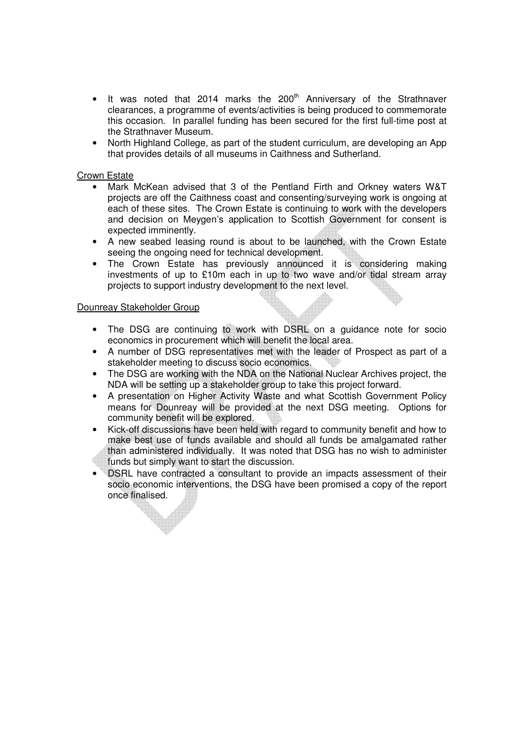- It was noted that 2014 marks the  $200<sup>th</sup>$  Anniversary of the Strathnaver clearances, a programme of events/activities is being produced to commemorate this occasion. In parallel funding has been secured for the first full-time post at the Strathnaver Museum.
- North Highland College, as part of the student curriculum, are developing an App that provides details of all museums in Caithness and Sutherland.

## Crown Estate

- Mark McKean advised that 3 of the Pentland Firth and Orkney waters W&T projects are off the Caithness coast and consenting/surveying work is ongoing at each of these sites. The Crown Estate is continuing to work with the developers and decision on Meygen's application to Scottish Government for consent is expected imminently.
- A new seabed leasing round is about to be launched, with the Crown Estate seeing the ongoing need for technical development.
- The Crown Estate has previously announced it is considering making investments of up to £10m each in up to two wave and/or tidal stream array projects to support industry development to the next level.

#### Dounreay Stakeholder Group

- The DSG are continuing to work with DSRL on a guidance note for socio economics in procurement which will benefit the local area.
- A number of DSG representatives met with the leader of Prospect as part of a stakeholder meeting to discuss socio economics.
- The DSG are working with the NDA on the National Nuclear Archives project, the NDA will be setting up a stakeholder group to take this project forward.
- A presentation on Higher Activity Waste and what Scottish Government Policy means for Dounreay will be provided at the next DSG meeting. Options for community benefit will be explored.
- Kick-off discussions have been held with regard to community benefit and how to make best use of funds available and should all funds be amalgamated rather than administered individually. It was noted that DSG has no wish to administer funds but simply want to start the discussion.
- DSRL have contracted a consultant to provide an impacts assessment of their socio economic interventions, the DSG have been promised a copy of the report once finalised.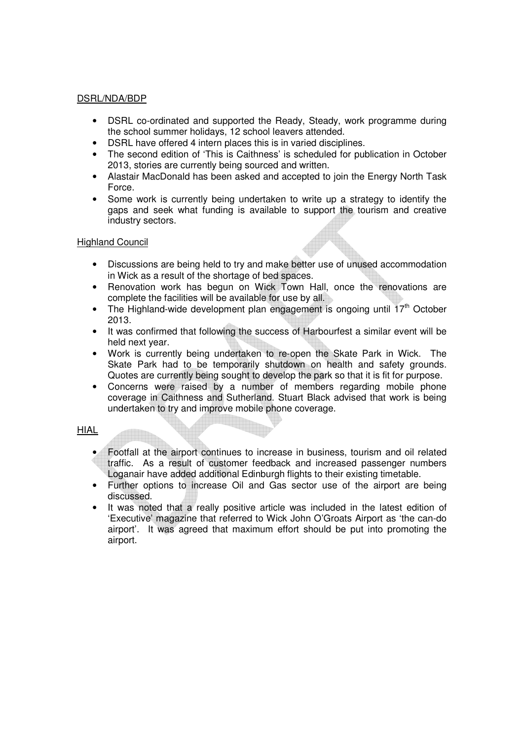## DSRL/NDA/BDP

- DSRL co-ordinated and supported the Ready, Steady, work programme during the school summer holidays, 12 school leavers attended.
- DSRL have offered 4 intern places this is in varied disciplines.
- The second edition of 'This is Caithness' is scheduled for publication in October 2013, stories are currently being sourced and written.
- Alastair MacDonald has been asked and accepted to join the Energy North Task Force.
- Some work is currently being undertaken to write up a strategy to identify the gaps and seek what funding is available to support the tourism and creative industry sectors.

## Highland Council

- Discussions are being held to try and make better use of unused accommodation in Wick as a result of the shortage of bed spaces.
- Renovation work has begun on Wick Town Hall, once the renovations are complete the facilities will be available for use by all.
- The Highland-wide development plan engagement is ongoing until  $17<sup>th</sup>$  October 2013.
- It was confirmed that following the success of Harbourfest a similar event will be held next year.
- Work is currently being undertaken to re-open the Skate Park in Wick. The Skate Park had to be temporarily shutdown on health and safety grounds. Quotes are currently being sought to develop the park so that it is fit for purpose.
- Concerns were raised by a number of members regarding mobile phone coverage in Caithness and Sutherland. Stuart Black advised that work is being undertaken to try and improve mobile phone coverage.

HIAL

- Footfall at the airport continues to increase in business, tourism and oil related traffic. As a result of customer feedback and increased passenger numbers Loganair have added additional Edinburgh flights to their existing timetable.
- Further options to increase Oil and Gas sector use of the airport are being discussed.
- It was noted that a really positive article was included in the latest edition of 'Executive' magazine that referred to Wick John O'Groats Airport as 'the can-do airport'. It was agreed that maximum effort should be put into promoting the airport.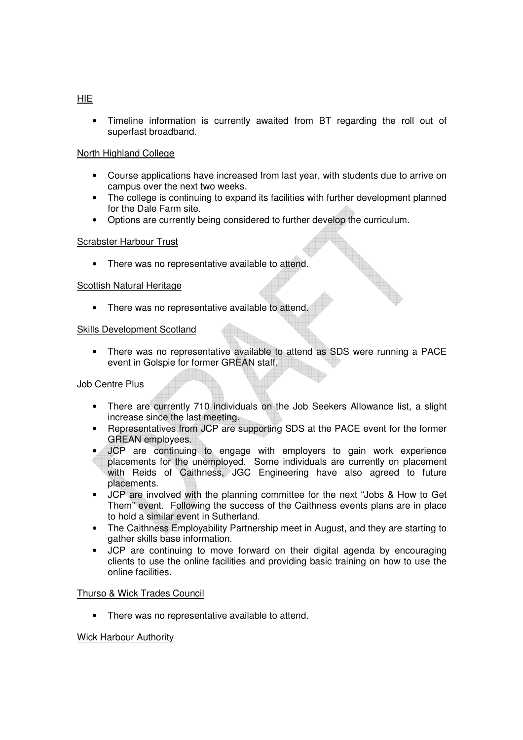• Timeline information is currently awaited from BT regarding the roll out of superfast broadband.

# North Highland College

- Course applications have increased from last year, with students due to arrive on campus over the next two weeks.
- The college is continuing to expand its facilities with further development planned for the Dale Farm site.
- Options are currently being considered to further develop the curriculum.

# Scrabster Harbour Trust

• There was no representative available to attend.

# Scottish Natural Heritage

• There was no representative available to attend.

## Skills Development Scotland

• There was no representative available to attend as SDS were running a PACE event in Golspie for former GREAN staff.

# Job Centre Plus

- There are currently 710 individuals on the Job Seekers Allowance list, a slight increase since the last meeting.
- Representatives from JCP are supporting SDS at the PACE event for the former GREAN employees.
- JCP are continuing to engage with employers to gain work experience placements for the unemployed. Some individuals are currently on placement with Reids of Caithness, JGC Engineering have also agreed to future placements.
- JCP are involved with the planning committee for the next "Jobs & How to Get Them" event. Following the success of the Caithness events plans are in place to hold a similar event in Sutherland.
- The Caithness Employability Partnership meet in August, and they are starting to gather skills base information.
- JCP are continuing to move forward on their digital agenda by encouraging clients to use the online facilities and providing basic training on how to use the online facilities.

#### Thurso & Wick Trades Council

• There was no representative available to attend.

#### Wick Harbour Authority

## HIE